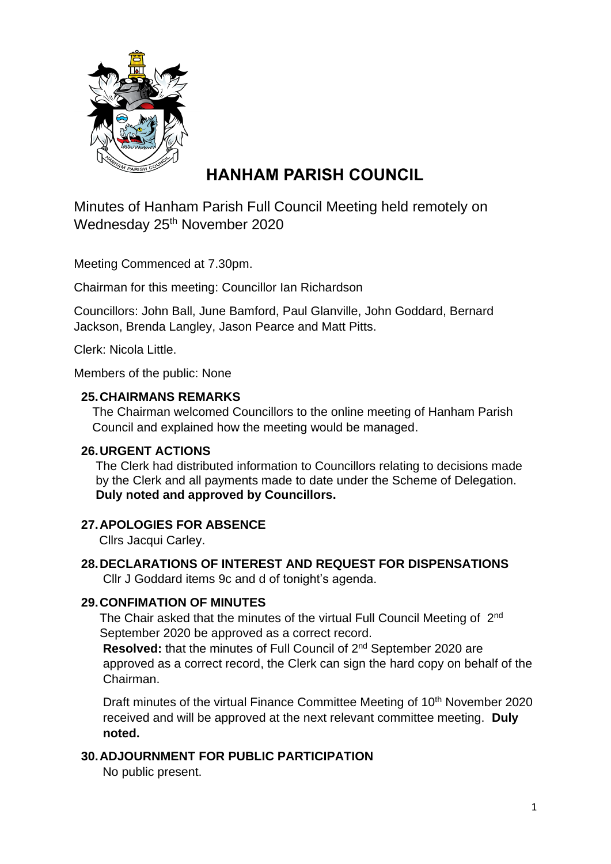

# **HANHAM PARISH COUNCIL**

Minutes of Hanham Parish Full Council Meeting held remotely on Wednesday 25<sup>th</sup> November 2020

Meeting Commenced at 7.30pm.

Chairman for this meeting: Councillor Ian Richardson

Councillors: John Ball, June Bamford, Paul Glanville, John Goddard, Bernard Jackson, Brenda Langley, Jason Pearce and Matt Pitts.

Clerk: Nicola Little.

Members of the public: None

#### **25.CHAIRMANS REMARKS**

The Chairman welcomed Councillors to the online meeting of Hanham Parish Council and explained how the meeting would be managed.

#### **26.URGENT ACTIONS**

The Clerk had distributed information to Councillors relating to decisions made by the Clerk and all payments made to date under the Scheme of Delegation. **Duly noted and approved by Councillors.**

# **27.APOLOGIES FOR ABSENCE**

Cllrs Jacqui Carley.

**28.DECLARATIONS OF INTEREST AND REQUEST FOR DISPENSATIONS** Cllr J Goddard items 9c and d of tonight's agenda.

# **29.CONFIMATION OF MINUTES**

The Chair asked that the minutes of the virtual Full Council Meeting of 2<sup>nd</sup> September 2020 be approved as a correct record.

Resolved: that the minutes of Full Council of 2<sup>nd</sup> September 2020 are approved as a correct record, the Clerk can sign the hard copy on behalf of the Chairman.

Draft minutes of the virtual Finance Committee Meeting of 10<sup>th</sup> November 2020 received and will be approved at the next relevant committee meeting. **Duly noted.**

# **30.ADJOURNMENT FOR PUBLIC PARTICIPATION**

No public present.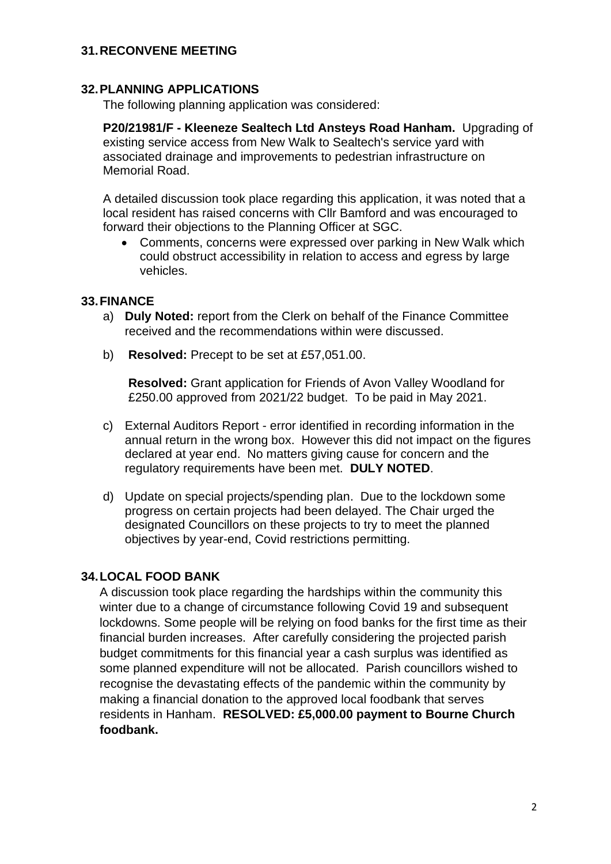#### **31.RECONVENE MEETING**

#### **32.PLANNING APPLICATIONS**

The following planning application was considered:

**P20/21981/F - Kleeneze Sealtech Ltd Ansteys Road Hanham.** Upgrading of existing service access from New Walk to Sealtech's service yard with associated drainage and improvements to pedestrian infrastructure on Memorial Road.

A detailed discussion took place regarding this application, it was noted that a local resident has raised concerns with Cllr Bamford and was encouraged to forward their objections to the Planning Officer at SGC.

• Comments, concerns were expressed over parking in New Walk which could obstruct accessibility in relation to access and egress by large vehicles.

#### **33.FINANCE**

- a) **Duly Noted:** report from the Clerk on behalf of the Finance Committee received and the recommendations within were discussed.
- b) **Resolved:** Precept to be set at £57,051.00.

**Resolved:** Grant application for Friends of Avon Valley Woodland for £250.00 approved from 2021/22 budget. To be paid in May 2021.

- c) External Auditors Report error identified in recording information in the annual return in the wrong box. However this did not impact on the figures declared at year end. No matters giving cause for concern and the regulatory requirements have been met. **DULY NOTED**.
- d) Update on special projects/spending plan. Due to the lockdown some progress on certain projects had been delayed. The Chair urged the designated Councillors on these projects to try to meet the planned objectives by year-end, Covid restrictions permitting.

# **34.LOCAL FOOD BANK**

A discussion took place regarding the hardships within the community this winter due to a change of circumstance following Covid 19 and subsequent lockdowns. Some people will be relying on food banks for the first time as their financial burden increases. After carefully considering the projected parish budget commitments for this financial year a cash surplus was identified as some planned expenditure will not be allocated. Parish councillors wished to recognise the devastating effects of the pandemic within the community by making a financial donation to the approved local foodbank that serves residents in Hanham. **RESOLVED: £5,000.00 payment to Bourne Church foodbank.**